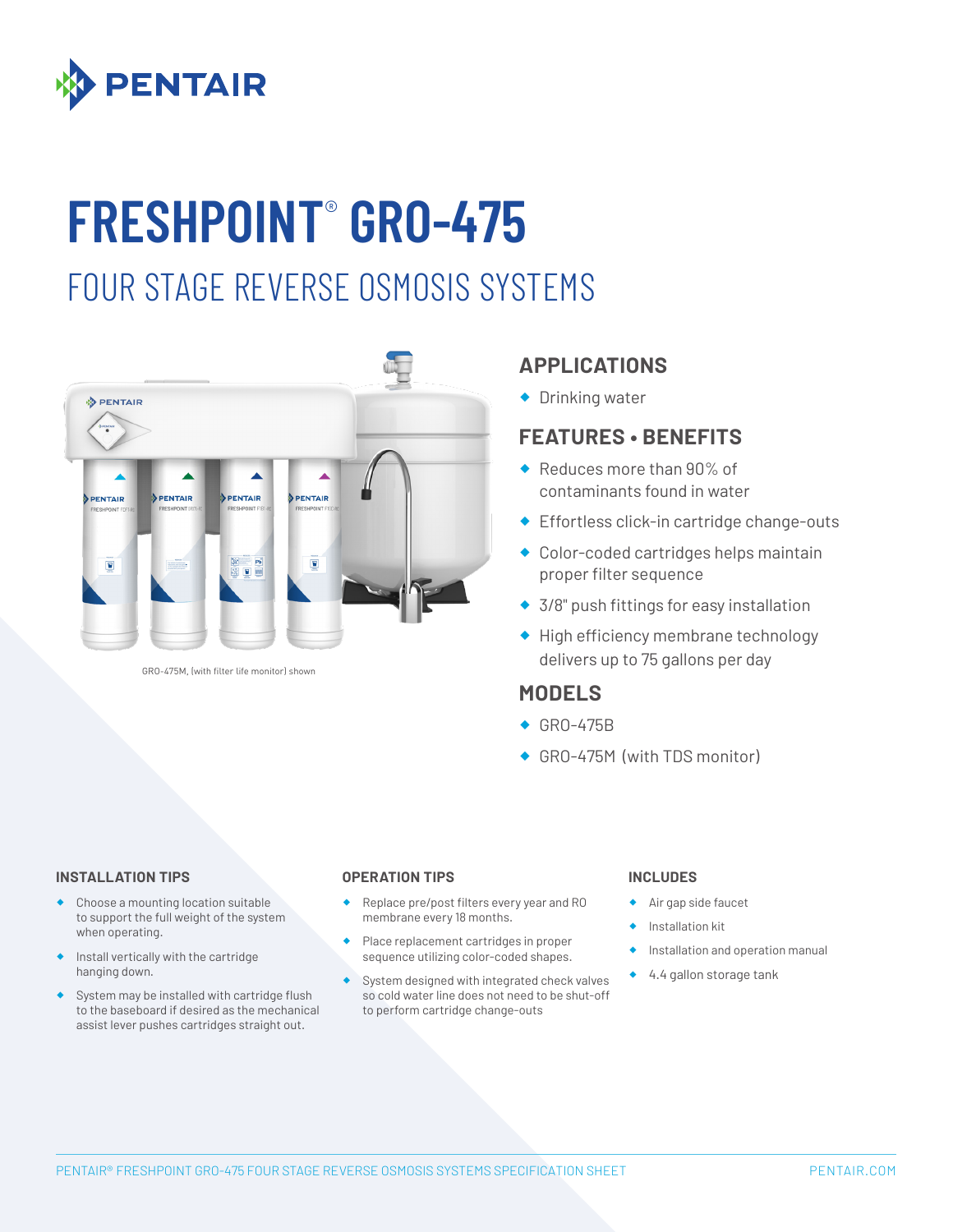

# **FRESHPOINT**®  **GRO-475**

## FOUR STAGE REVERSE OSMOSIS SYSTEMS



GRO-475M, (with filter life monitor) shown

### **APPLICATIONS**

◆ Drinking water

### **FEATURES • BENEFITS**

- ◆ Reduces more than 90% of contaminants found in water
- ◆ Effortless click-in cartridge change-outs
- ® Color-coded cartridges helps maintain proper filter sequence
- ◆ 3/8" push fittings for easy installation
- ® High efficiency membrane technology delivers up to 75 gallons per day

#### **MODELS**

- ◆ GRO-475B
- ◆ GRO-475M (with TDS monitor)

#### **INSTALLATION TIPS OPERATION TIPS INCLUDES**

- Choose a mounting location suitable to support the full weight of the system when operating.
- Install vertically with the cartridge hanging down.
- ® System may be installed with cartridge flush to the baseboard if desired as the mechanical assist lever pushes cartridges straight out.

- Replace pre/post filters every year and RO membrane every 18 months.
- Place replacement cartridges in proper sequence utilizing color-coded shapes.
- System designed with integrated check valves so cold water line does not need to be shut-off to perform cartridge change-outs

- Air gap side faucet
- ® Installation kit
- Installation and operation manual
- ® 4.4 gallon storage tank